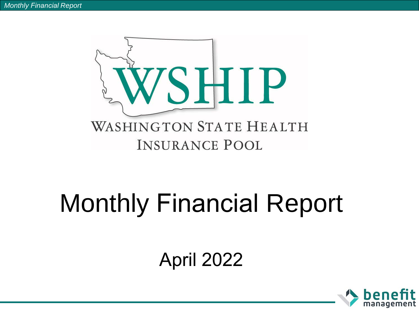

## Monthly Financial Report

## April 2022

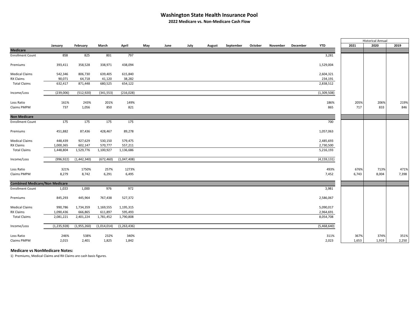## **Washington State Health Insurance Pool**

**2022 Medicare vs. Non-Medicare Cash Flow**

 $\overline{\phantom{0}}$ 

|                                       |               |             |             |             |     |      |      |        |           |         |          |          |               | <b>Historical Annual</b> |       |       |
|---------------------------------------|---------------|-------------|-------------|-------------|-----|------|------|--------|-----------|---------|----------|----------|---------------|--------------------------|-------|-------|
|                                       | January       | February    | March       | April       | May | June | July | August | September | October | November | December | <b>YTD</b>    | 2021                     | 2020  | 2019  |
| <b>Medicare</b>                       |               |             |             |             |     |      |      |        |           |         |          |          |               |                          |       |       |
| <b>Enrollment Count</b>               | 858           | 825         | 801         | 797         |     |      |      |        |           |         |          |          | 3,281         |                          |       |       |
| Premiums                              | 393,411       | 358,528     | 338,971     | 438,094     |     |      |      |        |           |         |          |          | 1,529,004     |                          |       |       |
| <b>Medical Claims</b>                 | 542,346       | 806,730     | 639,405     | 615,840     |     |      |      |        |           |         |          |          | 2,604,321     |                          |       |       |
| RX Claims                             | 90,071        | 64,718      | 41,120      | 38,282      |     |      |      |        |           |         |          |          | 234,191       |                          |       |       |
| <b>Total Claims</b>                   | 632,417       | 871,448     | 680,525     | 654,122     |     |      |      |        |           |         |          |          | 2,838,512     |                          |       |       |
| Income/Loss                           | (239,006)     | (512, 920)  | (341, 553)  | (216, 028)  |     |      |      |        |           |         |          |          | (1,309,508)   |                          |       |       |
| Loss Ratio                            | 161%          | 243%        | 201%        | 149%        |     |      |      |        |           |         |          |          | 186%          | 205%                     | 206%  | 219%  |
| Claims PMPM                           | 737           | 1,056       | 850         | 821         |     |      |      |        |           |         |          |          | 865           | 717                      | 833   | 846   |
| <b>Non Medicare</b>                   |               |             |             |             |     |      |      |        |           |         |          |          |               |                          |       |       |
| <b>Enrollment Count</b>               | 175           | 175         | 175         | 175         |     |      |      |        |           |         |          |          | 700           |                          |       |       |
| Premiums                              | 451,882       | 87,436      | 428,467     | 89,278      |     |      |      |        |           |         |          |          | 1,057,063     |                          |       |       |
| <b>Medical Claims</b>                 | 448,439       | 927,629     | 530,150     | 579,475     |     |      |      |        |           |         |          |          | 2,485,693     |                          |       |       |
| RX Claims                             | 1,000,365     | 602,147     | 570,777     | 557,211     |     |      |      |        |           |         |          |          | 2,730,500     |                          |       |       |
| <b>Total Claims</b>                   | 1,448,804     | 1,529,776   | 1,100,927   | 1,136,686   |     |      |      |        |           |         |          |          | 5,216,193     |                          |       |       |
| Income/Loss                           | (996, 922)    | (1,442,340) | (672, 460)  | (1,047,408) |     |      |      |        |           |         |          |          | (4, 159, 131) |                          |       |       |
| Loss Ratio                            | 321%          | 1750%       | 257%        | 1273%       |     |      |      |        |           |         |          |          | 493%          | 676%                     | 713%  | 471%  |
| Claims PMPM                           | 8,279         | 8,742       | 6,291       | 6,495       |     |      |      |        |           |         |          |          | 7,452         | 6,743                    | 8,004 | 7,398 |
| <b>Combined Medicare/Non Medicare</b> |               |             |             |             |     |      |      |        |           |         |          |          |               |                          |       |       |
| <b>Enrollment Count</b>               | 1,033         | 1,000       | 976         | 972         |     |      |      |        |           |         |          |          | 3,981         |                          |       |       |
| Premiums                              | 845,293       | 445,964     | 767,438     | 527,372     |     |      |      |        |           |         |          |          | 2,586,067     |                          |       |       |
| <b>Medical Claims</b>                 | 990,786       | 1,734,359   | 1,169,555   | 1,195,315   |     |      |      |        |           |         |          |          | 5,090,017     |                          |       |       |
| RX Claims                             | 1,090,436     | 666,865     | 611,897     | 595,493     |     |      |      |        |           |         |          |          | 2,964,691     |                          |       |       |
| <b>Total Claims</b>                   | 2,081,221     | 2,401,224   | 1,781,452   | 1,790,808   |     |      |      |        |           |         |          |          | 8,054,708     |                          |       |       |
| Income/Loss                           | (1, 235, 928) | (1,955,260) | (1,014,014) | (1,263,436) |     |      |      |        |           |         |          |          | (5,468,640)   |                          |       |       |
| Loss Ratio                            | 246%          | 538%        | 232%        | 340%        |     |      |      |        |           |         |          |          | 311%          | 367%                     | 374%  | 351%  |
| Claims PMPM                           | 2,015         | 2,401       | 1,825       | 1,842       |     |      |      |        |           |         |          |          | 2,023         | 1,653                    | 1,919 | 2,250 |

## **Medicare vs NonMedicare Notes:**

1) Premiums, Medical Claims and RX Claims are cash basis figures.